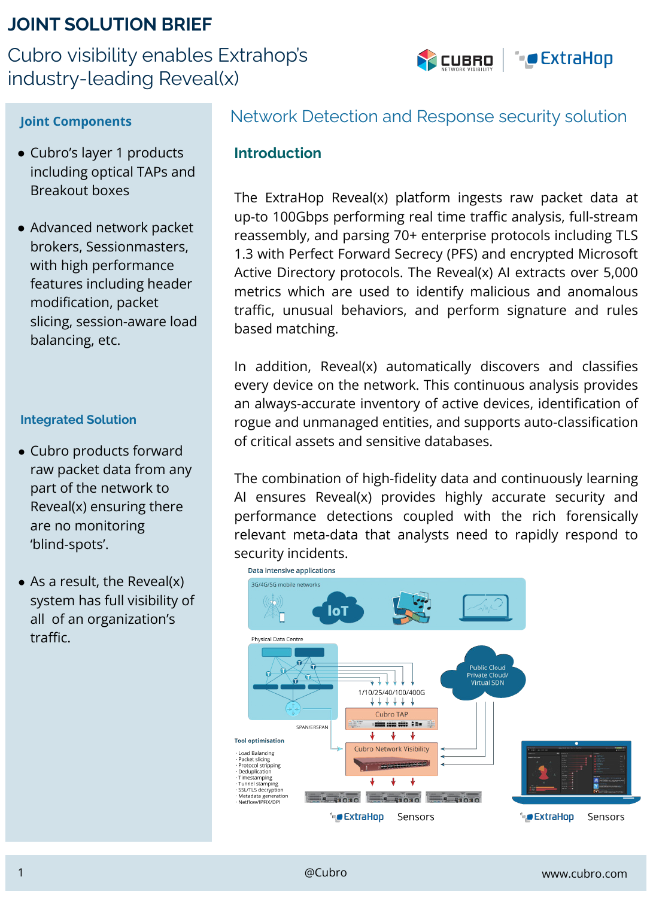# **JOINT SOLUTION BRIEF**

Cubro visibility enables Extrahop's industry-leading Reveal(x)



- Cubro's layer 1 products including optical TAPs and Breakout boxes
- Advanced network packet brokers, Sessionmasters, with high performance features including header modification, packet slicing, session-aware load balancing, etc.

#### **Integrated Solution**

- Cubro products forward raw packet data from any part of the network to Reveal(x) ensuring there are no monitoring 'blind-spots'.
- $\bullet$  As a result, the Reveal(x) system has full visibility of all of an organization's traffic.

## **Joint Components** Network Detection and Response security solution

#### **Introduction**

The ExtraHop Reveal(x) platform ingests raw packet data at up-to 100Gbps performing real time traffic analysis, full-stream reassembly, and parsing 70+ enterprise protocols including TLS 1.3 with Perfect Forward Secrecy (PFS) and encrypted Microsoft Active Directory protocols. The Reveal(x) AI extracts over 5,000 metrics which are used to identify malicious and anomalous traffic, unusual behaviors, and perform signature and rules based matching.

In addition, Reveal(x) automatically discovers and classifies every device on the network. This continuous analysis provides an always-accurate inventory of active devices, identification of rogue and unmanaged entities, and supports auto-classification of critical assets and sensitive databases.

The combination of high-fidelity data and continuously learning AI ensures Reveal(x) provides highly accurate security and performance detections coupled with the rich forensically relevant meta-data that analysts need to rapidly respond to security incidents.

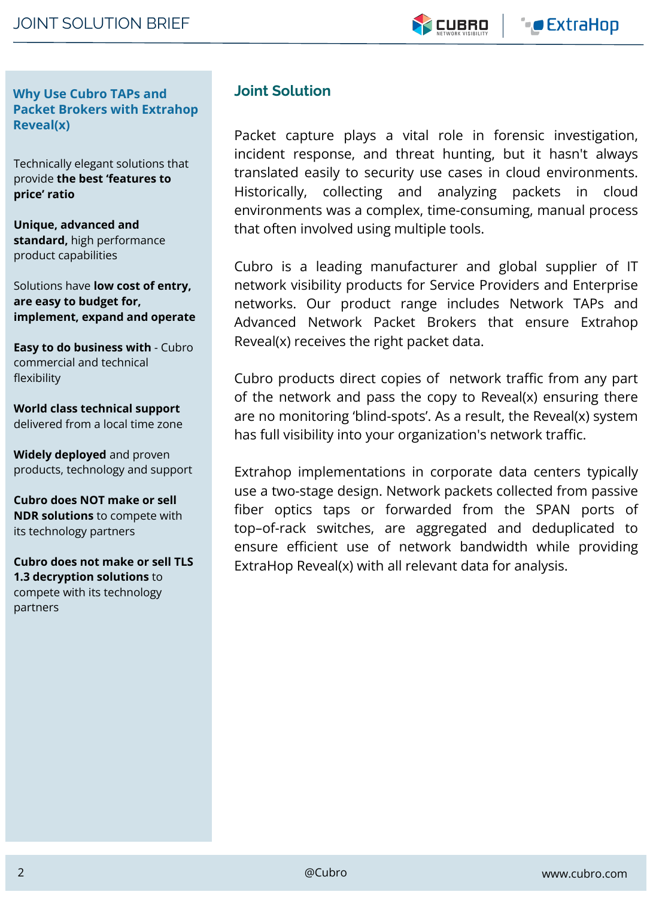**Why Use Cubro TAPs and Packet Brokers with Extrahop Reveal(x)**

Technically elegant solutions that provide **the best 'features to price' ratio**

**Unique, advanced and standard,** high performance product capabilities

Solutions have **low cost of entry, are easy to budget for, implement, expand and operate**

**Easy to do business with** - Cubro commercial and technical flexibility

**World class technical support**  delivered from a local time zone

**Widely deployed** and proven products, technology and support

**Cubro does NOT make or sell NDR solutions** to compete with its technology partners

**Cubro does not make or sell TLS 1.3 decryption solutions** to compete with its technology partners

### **Joint Solution**

Packet capture plays a vital role in forensic investigation, incident response, and threat hunting, but it hasn't always translated easily to security use cases in cloud environments. Historically, collecting and analyzing packets in cloud environments was a complex, time-consuming, manual process that often involved using multiple tools.

Cubro is a leading manufacturer and global supplier of IT network visibility products for Service Providers and Enterprise networks. Our product range includes Network TAPs and Advanced Network Packet Brokers that ensure Extrahop Reveal(x) receives the right packet data.

Cubro products direct copies of network traffic from any part of the network and pass the copy to Reveal(x) ensuring there are no monitoring 'blind-spots'. As a result, the Reveal(x) system has full visibility into your organization's network traffic.

Extrahop implementations in corporate data centers typically use a two-stage design. Network packets collected from passive fiber optics taps or forwarded from the SPAN ports of top–of-rack switches, are aggregated and deduplicated to ensure efficient use of network bandwidth while providing ExtraHop Reveal(x) with all relevant data for analysis.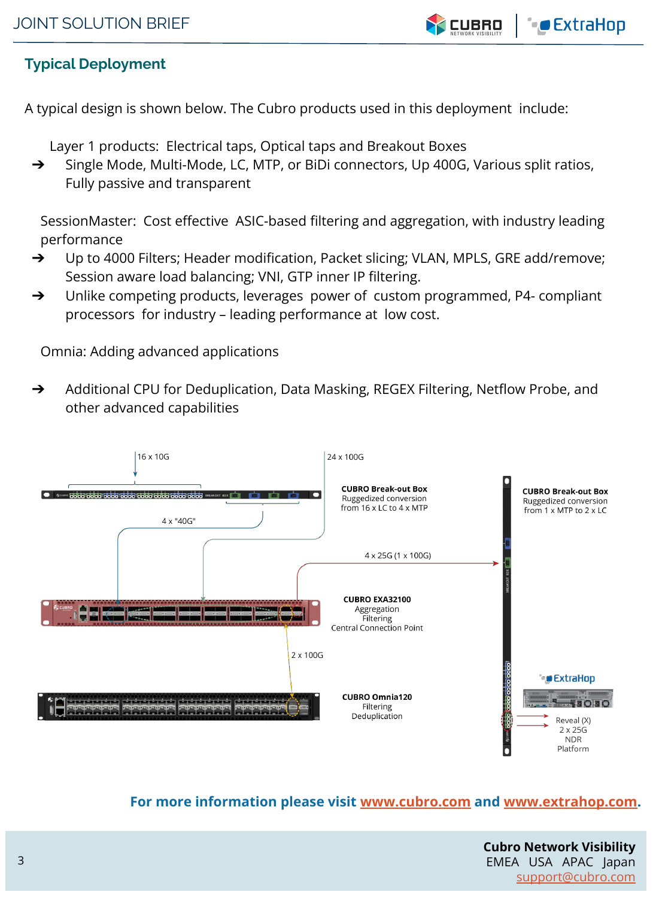

# **Typical Deployment**

A typical design is shown below. The Cubro products used in this deployment include:

Layer 1 products: Electrical taps, Optical taps and Breakout Boxes

➔ Single Mode, Multi-Mode, LC, MTP, or BiDi connectors, Up 400G, Various split ratios, Fully passive and transparent

SessionMaster: Cost effective ASIC-based filtering and aggregation, with industry leading performance

- ➔ Up to 4000 Filters; Header modification, Packet slicing; VLAN, MPLS, GRE add/remove; Session aware load balancing; VNI, GTP inner IP filtering.
- ➔ Unlike competing products, leverages power of custom programmed, P4- compliant processors for industry – leading performance at low cost.

Omnia: Adding advanced applications

➔ Additional CPU for Deduplication, Data Masking, REGEX Filtering, Netflow Probe, and other advanced capabilities



# **For more information please visit [www.cubro.com](http://www.cubro.com) and [www.extrahop.com](http://www.extrahop.com).**

**Cubro Network Visibility** EMEA USA APAC Japan [support@cubro.com](mailto:support@cubro.com)